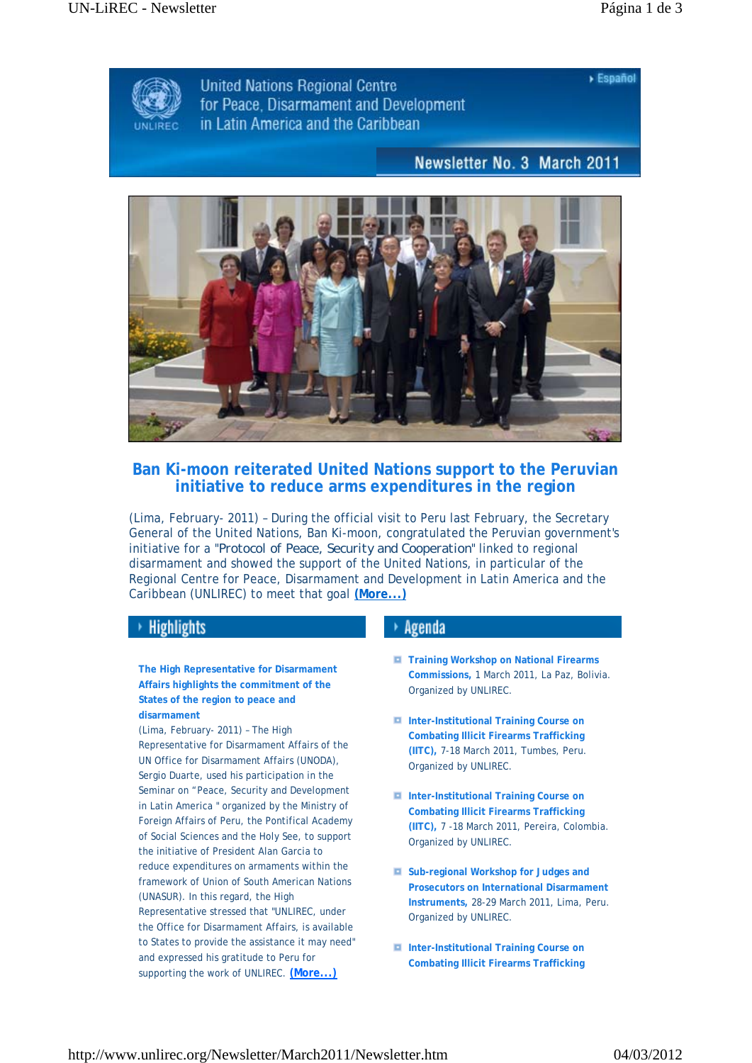$>$  Español



**United Nations Regional Centre** for Peace. Disarmament and Development in Latin America and the Caribbean

## Newsletter No. 3 March 2011



## **Ban Ki-moon reiterated United Nations support to the Peruvian initiative to reduce arms expenditures in the region**

(Lima, February- 2011) – During the official visit to Peru last February, the Secretary General of the United Nations, Ban Ki-moon, congratulated the Peruvian government's initiative for a "*Protocol of Peace, Security and Cooperation*" linked to regional disarmament and showed the support of the United Nations, in particular of the Regional Centre for Peace, Disarmament and Development in Latin America and the Caribbean (UNLIREC) to meet that goal **(More...)**

## **Highlights**

**The High Representative for Disarmament Affairs highlights the commitment of the States of the region to peace and disarmament**

(Lima, February- 2011) – The High Representative for Disarmament Affairs of the UN Office for Disarmament Affairs (UNODA), Sergio Duarte, used his participation in the Seminar on "Peace, Security and Development in Latin America " organized by the Ministry of Foreign Affairs of Peru, the Pontifical Academy of Social Sciences and the Holy See, to support the initiative of President Alan Garcia to reduce expenditures on armaments within the framework of Union of South American Nations (UNASUR). In this regard, the High Representative stressed that "UNLIREC, under the Office for Disarmament Affairs, is available to States to provide the assistance it may need" and expressed his gratitude to Peru for supporting the work of UNLIREC. **(More...)**

## $\rightarrow$  Agenda

- **Training Workshop on National Firearms Commissions,** 1 March 2011, La Paz, Bolivia. Organized by UNLIREC.
- **Inter-Institutional Training Course on Combating Illicit Firearms Trafficking (IITC),** 7-18 March 2011, Tumbes, Peru. Organized by UNLIREC.
- **Inter-Institutional Training Course on Combating Illicit Firearms Trafficking (IITC),** 7 -18 March 2011, Pereira, Colombia. Organized by UNLIREC.
- **Sub-regional Workshop for Judges and Prosecutors on International Disarmament Instruments,** 28-29 March 2011, Lima, Peru. Organized by UNLIREC.
- **Inter-Institutional Training Course on Combating Illicit Firearms Trafficking**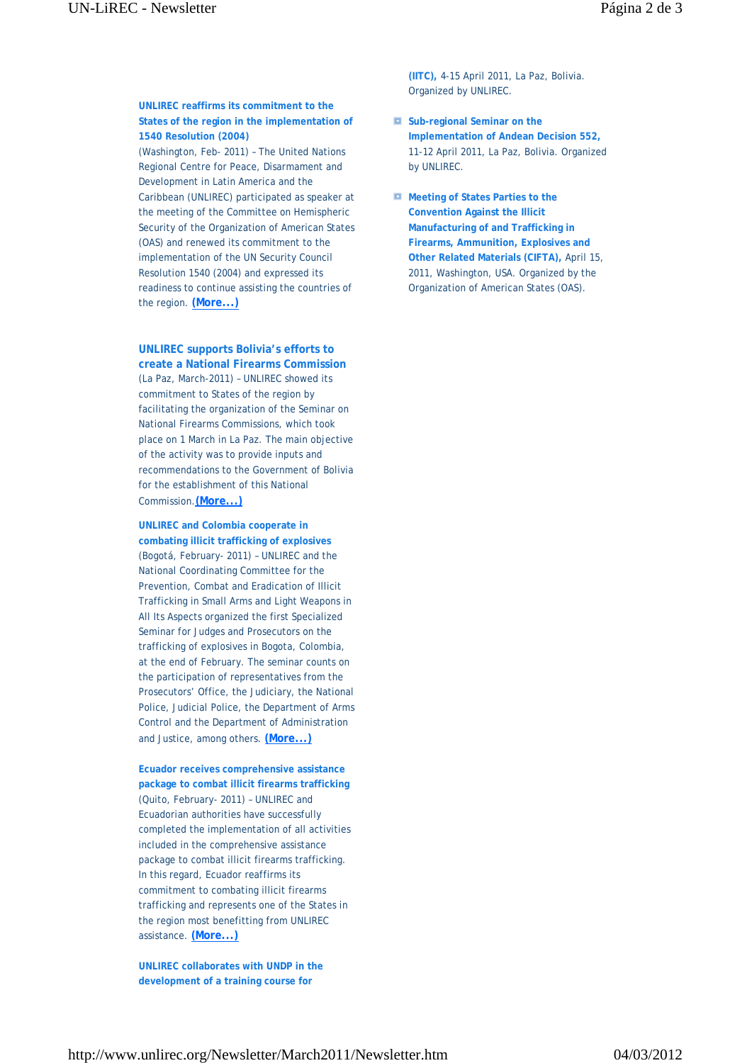**UNLIREC reaffirms its commitment to the States of the region in the implementation of 1540 Resolution (2004)** (Washington, Feb- 2011) – The United Nations Regional Centre for Peace, Disarmament and Development in Latin America and the Caribbean (UNLIREC) participated as speaker at the meeting of the Committee on Hemispheric Security of the Organization of American States (OAS) and renewed its commitment to the implementation of the UN Security Council Resolution 1540 (2004) and expressed its readiness to continue assisting the countries of

**UNLIREC supports Bolivia's efforts to** 

the region. **(More...)**

**create a National Firearms Commission** (La Paz, March-2011) – UNLIREC showed its commitment to States of the region by facilitating the organization of the Seminar on National Firearms Commissions, which took place on 1 March in La Paz. The main objective of the activity was to provide inputs and recommendations to the Government of Bolivia for the establishment of this National Commission.**(More...)**

**UNLIREC and Colombia cooperate in combating illicit trafficking of explosives** (Bogotá, February- 2011) – UNLIREC and the National Coordinating Committee for the Prevention, Combat and Eradication of Illicit Trafficking in Small Arms and Light Weapons in All Its Aspects organized the first Specialized Seminar for Judges and Prosecutors on the trafficking of explosives in Bogota, Colombia, at the end of February. The seminar counts on the participation of representatives from the Prosecutors' Office, the Judiciary, the National Police, Judicial Police, the Department of Arms Control and the Department of Administration and Justice, among others. **(More...)**

**Ecuador receives comprehensive assistance package to combat illicit firearms trafficking**  (Quito, February- 2011) – UNLIREC and Ecuadorian authorities have successfully completed the implementation of all activities included in the comprehensive assistance package to combat illicit firearms trafficking. In this regard, Ecuador reaffirms its commitment to combating illicit firearms trafficking and represents one of the States in the region most benefitting from UNLIREC assistance. **(More...)**

**UNLIREC collaborates with UNDP in the development of a training course for** 

**(IITC),** 4-15 April 2011, La Paz, Bolivia. Organized by UNLIREC.

- **E** Sub-regional Seminar on the **Implementation of Andean Decision 552,** 11-12 April 2011, La Paz, Bolivia. Organized by UNLIREC.
- **Meeting of States Parties to the Convention Against the Illicit Manufacturing of and Trafficking in Firearms, Ammunition, Explosives and Other Related Materials (CIFTA),** April 15, 2011, Washington, USA. Organized by the Organization of American States (OAS).